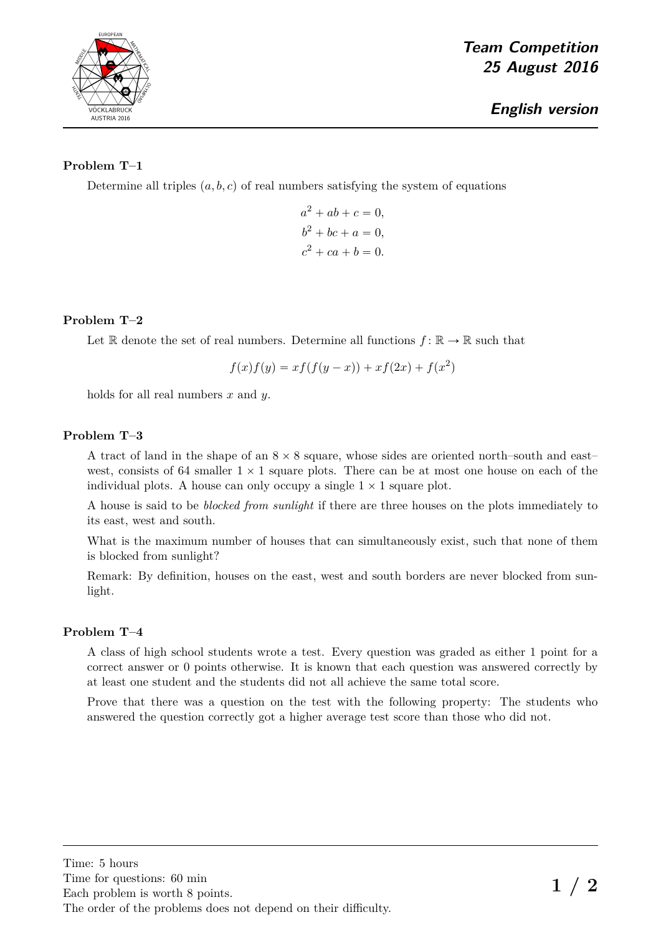

## **Problem T–1**

Determine all triples  $(a, b, c)$  of real numbers satisfying the system of equations

 $a^2 + ab + c = 0,$  $b^2 + bc + a = 0,$  $c^2 + ca + b = 0.$ 

## **Problem T–2**

Let R denote the set of real numbers. Determine all functions  $f: \mathbb{R} \to \mathbb{R}$  such that

$$
f(x)f(y) = xf(f(y - x)) + xf(2x) + f(x2)
$$

holds for all real numbers *x* and *y*.

### **Problem T–3**

A tract of land in the shape of an  $8 \times 8$  square, whose sides are oriented north–south and east– west, consists of 64 smaller  $1 \times 1$  square plots. There can be at most one house on each of the individual plots. A house can only occupy a single  $1 \times 1$  square plot.

A house is said to be *blocked from sunlight* if there are three houses on the plots immediately to its east, west and south.

What is the maximum number of houses that can simultaneously exist, such that none of them is blocked from sunlight?

Remark: By definition, houses on the east, west and south borders are never blocked from sunlight.

### **Problem T–4**

A class of high school students wrote a test. Every question was graded as either 1 point for a correct answer or 0 points otherwise. It is known that each question was answered correctly by at least one student and the students did not all achieve the same total score.

Prove that there was a question on the test with the following property: The students who answered the question correctly got a higher average test score than those who did not.